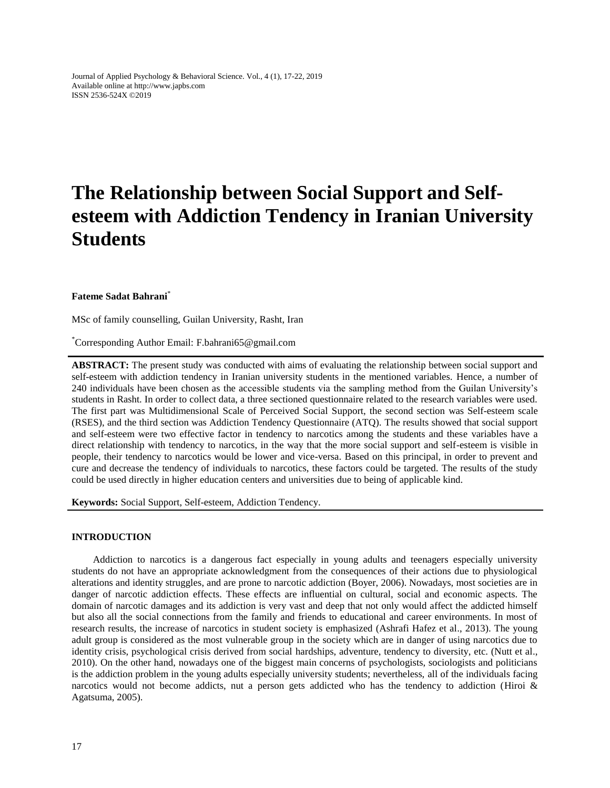Journal of Applied Psychology & Behavioral Science. Vol., 4 (1), 17-22, 2019 Available online at http://www.japbs.com ISSN 2536-524X ©2019

# **The Relationship between Social Support and Selfesteem with Addiction Tendency in Iranian University Students**

## **Fateme Sadat Bahrani**\*

MSc of family counselling, Guilan University, Rasht, Iran

\*Corresponding Author Email: F.bahrani65@gmail.com

**ABSTRACT:** The present study was conducted with aims of evaluating the relationship between social support and self-esteem with addiction tendency in Iranian university students in the mentioned variables. Hence, a number of 240 individuals have been chosen as the accessible students via the sampling method from the Guilan University's students in Rasht. In order to collect data, a three sectioned questionnaire related to the research variables were used. The first part was Multidimensional Scale of Perceived Social Support, the second section was Self-esteem scale (RSES), and the third section was Addiction Tendency Questionnaire (ATQ). The results showed that social support and self-esteem were two effective factor in tendency to narcotics among the students and these variables have a direct relationship with tendency to narcotics, in the way that the more social support and self-esteem is visible in people, their tendency to narcotics would be lower and vice-versa. Based on this principal, in order to prevent and cure and decrease the tendency of individuals to narcotics, these factors could be targeted. The results of the study could be used directly in higher education centers and universities due to being of applicable kind.

**Keywords:** Social Support, Self-esteem, Addiction Tendency.

## **INTRODUCTION**

Addiction to narcotics is a dangerous fact especially in young adults and teenagers especially university students do not have an appropriate acknowledgment from the consequences of their actions due to physiological alterations and identity struggles, and are prone to narcotic addiction (Boyer, 2006). Nowadays, most societies are in danger of narcotic addiction effects. These effects are influential on cultural, social and economic aspects. The domain of narcotic damages and its addiction is very vast and deep that not only would affect the addicted himself but also all the social connections from the family and friends to educational and career environments. In most of research results, the increase of narcotics in student society is emphasized (Ashrafi Hafez et al., 2013). The young adult group is considered as the most vulnerable group in the society which are in danger of using narcotics due to identity crisis, psychological crisis derived from social hardships, adventure, tendency to diversity, etc. (Nutt et al., 2010). On the other hand, nowadays one of the biggest main concerns of psychologists, sociologists and politicians is the addiction problem in the young adults especially university students; nevertheless, all of the individuals facing narcotics would not become addicts, nut a person gets addicted who has the tendency to addiction (Hiroi  $\&$ Agatsuma, 2005).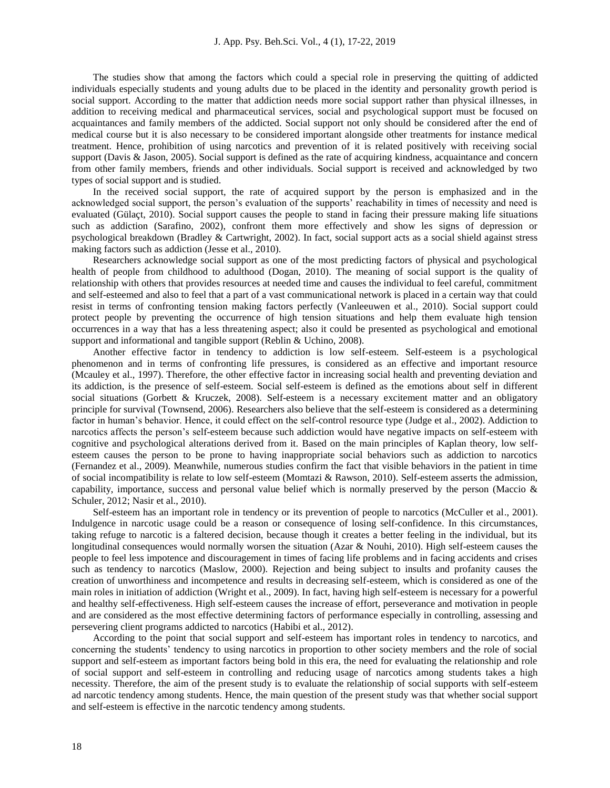The studies show that among the factors which could a special role in preserving the quitting of addicted individuals especially students and young adults due to be placed in the identity and personality growth period is social support. According to the matter that addiction needs more social support rather than physical illnesses, in addition to receiving medical and pharmaceutical services, social and psychological support must be focused on acquaintances and family members of the addicted. Social support not only should be considered after the end of medical course but it is also necessary to be considered important alongside other treatments for instance medical treatment. Hence, prohibition of using narcotics and prevention of it is related positively with receiving social support (Davis & Jason, 2005). Social support is defined as the rate of acquiring kindness, acquaintance and concern from other family members, friends and other individuals. Social support is received and acknowledged by two types of social support and is studied.

In the received social support, the rate of acquired support by the person is emphasized and in the acknowledged social support, the person's evaluation of the supports' reachability in times of necessity and need is evaluated (Gülaçt, 2010). Social support causes the people to stand in facing their pressure making life situations such as addiction (Sarafino, 2002), confront them more effectively and show les signs of depression or psychological breakdown (Bradley & Cartwright, 2002). In fact, social support acts as a social shield against stress making factors such as addiction (Jesse et al., 2010).

Researchers acknowledge social support as one of the most predicting factors of physical and psychological health of people from childhood to adulthood (Dogan, 2010). The meaning of social support is the quality of relationship with others that provides resources at needed time and causes the individual to feel careful, commitment and self-esteemed and also to feel that a part of a vast communicational network is placed in a certain way that could resist in terms of confronting tension making factors perfectly (Vanleeuwen et al., 2010). Social support could protect people by preventing the occurrence of high tension situations and help them evaluate high tension occurrences in a way that has a less threatening aspect; also it could be presented as psychological and emotional support and informational and tangible support (Reblin & Uchino, 2008).

Another effective factor in tendency to addiction is low self-esteem. Self-esteem is a psychological phenomenon and in terms of confronting life pressures, is considered as an effective and important resource (Mcauley et al., 1997). Therefore, the other effective factor in increasing social health and preventing deviation and its addiction, is the presence of self-esteem. Social self-esteem is defined as the emotions about self in different social situations (Gorbett & Kruczek, 2008). Self-esteem is a necessary excitement matter and an obligatory principle for survival (Townsend, 2006). Researchers also believe that the self-esteem is considered as a determining factor in human's behavior. Hence, it could effect on the self-control resource type (Judge et al., 2002). Addiction to narcotics affects the person's self-esteem because such addiction would have negative impacts on self-esteem with cognitive and psychological alterations derived from it. Based on the main principles of Kaplan theory, low selfesteem causes the person to be prone to having inappropriate social behaviors such as addiction to narcotics (Fernandez et al., 2009). Meanwhile, numerous studies confirm the fact that visible behaviors in the patient in time of social incompatibility is relate to low self-esteem (Momtazi & Rawson, 2010). Self-esteem asserts the admission, capability, importance, success and personal value belief which is normally preserved by the person (Maccio  $\&$ Schuler, 2012; Nasir et al., 2010).

Self-esteem has an important role in tendency or its prevention of people to narcotics (McCuller et al., 2001). Indulgence in narcotic usage could be a reason or consequence of losing self-confidence. In this circumstances, taking refuge to narcotic is a faltered decision, because though it creates a better feeling in the individual, but its longitudinal consequences would normally worsen the situation (Azar & Nouhi, 2010). High self-esteem causes the people to feel less impotence and discouragement in times of facing life problems and in facing accidents and crises such as tendency to narcotics (Maslow, 2000). Rejection and being subject to insults and profanity causes the creation of unworthiness and incompetence and results in decreasing self-esteem, which is considered as one of the main roles in initiation of addiction (Wright et al., 2009). In fact, having high self-esteem is necessary for a powerful and healthy self-effectiveness. High self-esteem causes the increase of effort, perseverance and motivation in people and are considered as the most effective determining factors of performance especially in controlling, assessing and persevering client programs addicted to narcotics (Habibi et al., 2012).

According to the point that social support and self-esteem has important roles in tendency to narcotics, and concerning the students' tendency to using narcotics in proportion to other society members and the role of social support and self-esteem as important factors being bold in this era, the need for evaluating the relationship and role of social support and self-esteem in controlling and reducing usage of narcotics among students takes a high necessity. Therefore, the aim of the present study is to evaluate the relationship of social supports with self-esteem ad narcotic tendency among students. Hence, the main question of the present study was that whether social support and self-esteem is effective in the narcotic tendency among students.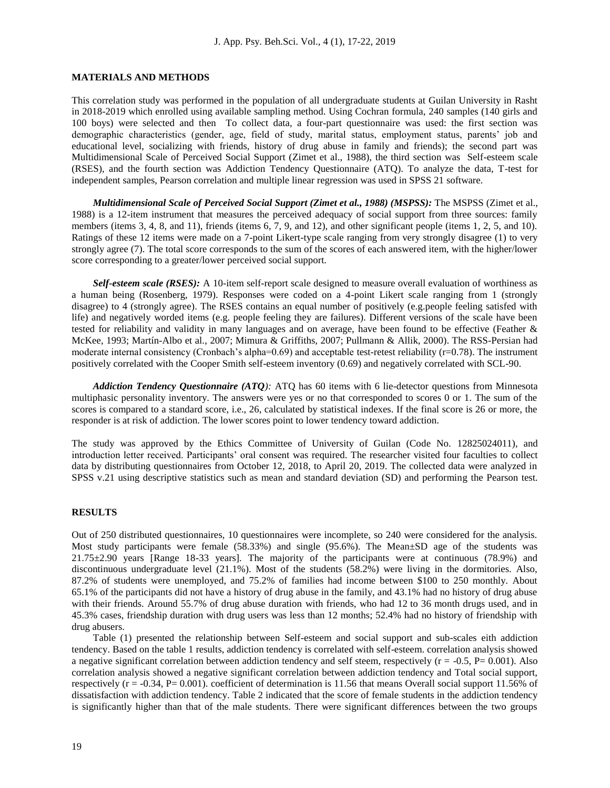## **MATERIALS AND METHODS**

This correlation study was performed in the population of all undergraduate students at Guilan University in Rasht in 2018-2019 which enrolled using available sampling method. Using Cochran formula, 240 samples (140 girls and 100 boys) were selected and then To collect data, a four-part questionnaire was used: the first section was demographic characteristics (gender, age, field of study, marital status, employment status, parents' job and educational level, socializing with friends, history of drug abuse in family and friends); the second part was Multidimensional Scale of Perceived Social Support (Zimet et al., 1988), the third section was Self-esteem scale (RSES), and the fourth section was Addiction Tendency Questionnaire (ATQ). To analyze the data, T-test for independent samples, Pearson correlation and multiple linear regression was used in SPSS 21 software.

*Multidimensional Scale of Perceived Social Support (Zimet et al., 1988) (MSPSS):* The MSPSS (Zimet et al., 1988) is a 12-item instrument that measures the perceived adequacy of social support from three sources: family members (items 3, 4, 8, and 11), friends (items 6, 7, 9, and 12), and other significant people (items 1, 2, 5, and 10). Ratings of these 12 items were made on a 7-point Likert-type scale ranging from very strongly disagree (1) to very strongly agree (7). The total score corresponds to the sum of the scores of each answered item, with the higher/lower score corresponding to a greater/lower perceived social support.

*Self-esteem scale (RSES):* A 10-item self-report scale designed to measure overall evaluation of worthiness as a human being (Rosenberg, 1979). Responses were coded on a 4-point Likert scale ranging from 1 (strongly disagree) to 4 (strongly agree). The RSES contains an equal number of positively (e.g.people feeling satisfed with life) and negatively worded items (e.g. people feeling they are failures). Different versions of the scale have been tested for reliability and validity in many languages and on average, have been found to be effective (Feather & McKee, 1993; Martín-Albo et al., 2007; Mimura & Griffiths, 2007; Pullmann & Allik, 2000). The RSS-Persian had moderate internal consistency (Cronbach's alpha= $0.69$ ) and acceptable test-retest reliability (r=0.78). The instrument positively correlated with the Cooper Smith self-esteem inventory (0.69) and negatively correlated with SCL-90.

*Addiction Tendency Questionnaire (ATQ):* ATQ has 60 items with 6 lie-detector questions from Minnesota multiphasic personality inventory. The answers were yes or no that corresponded to scores 0 or 1. The sum of the scores is compared to a standard score, i.e., 26, calculated by statistical indexes. If the final score is 26 or more, the responder is at risk of addiction. The lower scores point to lower tendency toward addiction.

The study was approved by the Ethics Committee of University of Guilan (Code No. 12825024011), and introduction letter received. Participants' oral consent was required. The researcher visited four faculties to collect data by distributing questionnaires from October 12, 2018, to April 20, 2019. The collected data were analyzed in SPSS v.21 using descriptive statistics such as mean and standard deviation (SD) and performing the Pearson test.

#### **RESULTS**

Out of 250 distributed questionnaires, 10 questionnaires were incomplete, so 240 were considered for the analysis. Most study participants were female (58.33%) and single (95.6%). The Mean±SD age of the students was 21.75±2.90 years [Range 18-33 years]. The majority of the participants were at continuous (78.9%) and discontinuous undergraduate level (21.1%). Most of the students (58.2%) were living in the dormitories. Also, 87.2% of students were unemployed, and 75.2% of families had income between \$100 to 250 monthly. About 65.1% of the participants did not have a history of drug abuse in the family, and 43.1% had no history of drug abuse with their friends. Around 55.7% of drug abuse duration with friends, who had 12 to 36 month drugs used, and in 45.3% cases, friendship duration with drug users was less than 12 months; 52.4% had no history of friendship with drug abusers.

Table (1) presented the relationship between Self-esteem and social support and sub-scales eith addiction tendency. Based on the table 1 results, addiction tendency is correlated with self-esteem. correlation analysis showed a negative significant correlation between addiction tendency and self steem, respectively ( $r = -0.5$ ,  $P = 0.001$ ). Also correlation analysis showed a negative significant correlation between addiction tendency and Total social support, respectively (r = -0.34, P= 0.001). coefficient of determination is 11.56 that means Overall social support 11.56% of dissatisfaction with addiction tendency. Table 2 indicated that the score of female students in the addiction tendency is significantly higher than that of the male students. There were significant differences between the two groups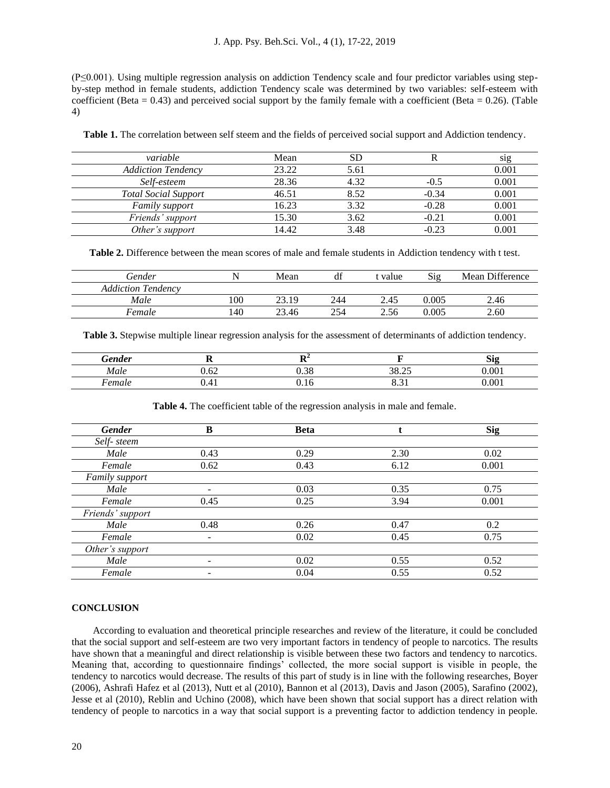(P≤0.001). Using multiple regression analysis on addiction Tendency scale and four predictor variables using stepby-step method in female students, addiction Tendency scale was determined by two variables: self-esteem with coefficient (Beta  $= 0.43$ ) and perceived social support by the family female with a coefficient (Beta  $= 0.26$ ). (Table 4)

| variable                    | Mean  |      |         | S1g   |
|-----------------------------|-------|------|---------|-------|
| <b>Addiction Tendency</b>   | 23.22 | 5.61 |         | 0.001 |
| Self-esteem                 | 28.36 | 4.32 | -0.5    | 0.001 |
| <b>Total Social Support</b> | 46.51 | 8.52 | $-0.34$ | 0.001 |
| Family support              | 16.23 | 3.32 | $-0.28$ | 0.001 |
| Friends' support            | 15.30 | 3.62 | $-0.21$ | 0.001 |
| Other's support             | 14.42 | 3.48 | $-0.23$ | 0.001 |

**Table 1.** The correlation between self steem and the fields of perceived social support and Addiction tendency.

**Table 2.** Difference between the mean scores of male and female students in Addiction tendency with t test.

| Gender                    |     | Mean  | $\sim$<br>d1 | t value | Sig   | Mean Difference |
|---------------------------|-----|-------|--------------|---------|-------|-----------------|
| <b>Addiction Tendency</b> |     |       |              |         |       |                 |
| Male                      | 100 | 23.19 | 244          | 2.45    | 0.005 | 2.46            |
| Female                    | 140 | 23.46 | 254          | 2.56    | 0.005 | 2.60            |

**Table 3.** Stepwise multiple linear regression analysis for the assessment of determinants of addiction tendency.

| <b><i><u>Gender</u></i></b> | --             | . .      |                | n.<br>S19        |
|-----------------------------|----------------|----------|----------------|------------------|
| Male                        | $\sim$<br>U.UZ | $\Omega$ | 20.25<br>30.ZJ | 0 <sub>0</sub> 1 |
| emale                       | v.+1           | . J      |                | 001              |

**Table 4.** The coefficient table of the regression analysis in male and female.

| <b>Gender</b>    | B                        | <b>Beta</b> |      | <b>Sig</b> |
|------------------|--------------------------|-------------|------|------------|
| Self-steem       |                          |             |      |            |
| Male             | 0.43                     | 0.29        | 2.30 | 0.02       |
| Female           | 0.62                     | 0.43        | 6.12 | 0.001      |
| Family support   |                          |             |      |            |
| Male             | -                        | 0.03        | 0.35 | 0.75       |
| Female           | 0.45                     | 0.25        | 3.94 | 0.001      |
| Friends' support |                          |             |      |            |
| Male             | 0.48                     | 0.26        | 0.47 | 0.2        |
| Female           | $\overline{\phantom{0}}$ | 0.02        | 0.45 | 0.75       |
| Other's support  |                          |             |      |            |
| Male             | $\overline{\phantom{0}}$ | 0.02        | 0.55 | 0.52       |
| Female           |                          | 0.04        | 0.55 | 0.52       |

# **CONCLUSION**

According to evaluation and theoretical principle researches and review of the literature, it could be concluded that the social support and self-esteem are two very important factors in tendency of people to narcotics. The results have shown that a meaningful and direct relationship is visible between these two factors and tendency to narcotics. Meaning that, according to questionnaire findings' collected, the more social support is visible in people, the tendency to narcotics would decrease. The results of this part of study is in line with the following researches, Boyer (2006), Ashrafi Hafez et al (2013), Nutt et al (2010), Bannon et al (2013), Davis and Jason (2005), Sarafino (2002), Jesse et al (2010), Reblin and Uchino (2008), which have been shown that social support has a direct relation with tendency of people to narcotics in a way that social support is a preventing factor to addiction tendency in people.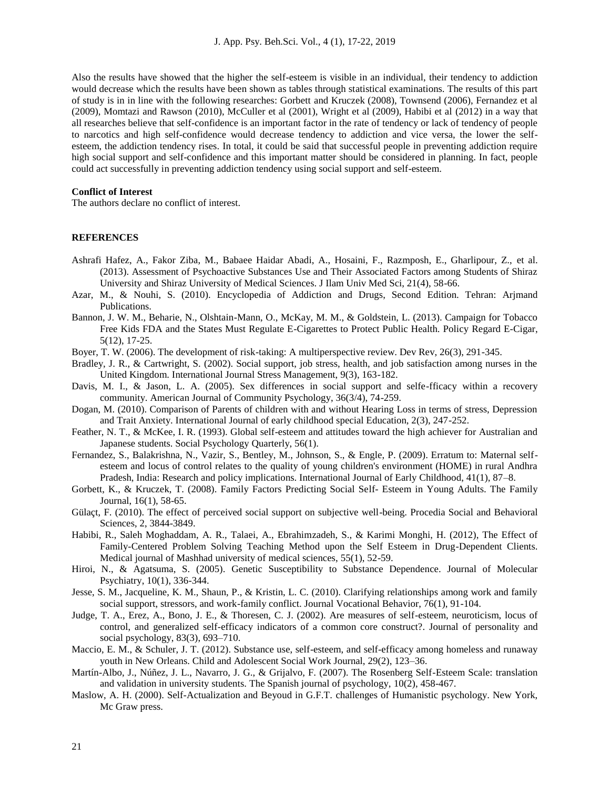Also the results have showed that the higher the self-esteem is visible in an individual, their tendency to addiction would decrease which the results have been shown as tables through statistical examinations. The results of this part of study is in in line with the following researches: Gorbett and Kruczek (2008), Townsend (2006), Fernandez et al (2009), Momtazi and Rawson (2010), McCuller et al (2001), Wright et al (2009), Habibi et al (2012) in a way that all researches believe that self-confidence is an important factor in the rate of tendency or lack of tendency of people to narcotics and high self-confidence would decrease tendency to addiction and vice versa, the lower the selfesteem, the addiction tendency rises. In total, it could be said that successful people in preventing addiction require high social support and self-confidence and this important matter should be considered in planning. In fact, people could act successfully in preventing addiction tendency using social support and self-esteem.

# **Conflict of Interest**

The authors declare no conflict of interest.

#### **REFERENCES**

- Ashrafi Hafez, A., Fakor Ziba, M., Babaee Haidar Abadi, A., Hosaini, F., Razmposh, E., Gharlipour, Z., et al. (2013). Assessment of Psychoactive Substances Use and Their Associated Factors among Students of Shiraz University and Shiraz University of Medical Sciences. J Ilam Univ Med Sci, 21(4), 58-66.
- Azar, M., & Nouhi, S. (2010). Encyclopedia of Addiction and Drugs, Second Edition. Tehran: Arjmand Publications.
- Bannon, J. W. M., Beharie, N., Olshtain-Mann, O., McKay, M. M., & Goldstein, L. (2013). Campaign for Tobacco Free Kids FDA and the States Must Regulate E-Cigarettes to Protect Public Health. Policy Regard E-Cigar, 5(12), 17-25.
- Boyer, T. W. (2006). The development of risk-taking: A multiperspective review. Dev Rev, 26(3), 291-345.
- Bradley, J. R., & Cartwright, S. (2002). Social support, job stress, health, and job satisfaction among nurses in the United Kingdom. International Journal Stress Management, 9(3), 163-182.
- Davis, M. I., & Jason, L. A. (2005). Sex differences in social support and selfe-fficacy within a recovery community. American Journal of Community Psychology, 36(3/4), 74-259.
- Dogan, M. (2010). Comparison of Parents of children with and without Hearing Loss in terms of stress, Depression and Trait Anxiety. International Journal of early childhood special Education, 2(3), 247-252.
- Feather, N. T., & McKee, I. R. (1993). Global self-esteem and attitudes toward the high achiever for Australian and Japanese students. Social Psychology Quarterly, 56(1).
- Fernandez, S., Balakrishna, N., Vazir, S., Bentley, M., Johnson, S., & Engle, P. (2009). Erratum to: Maternal selfesteem and locus of control relates to the quality of young children's environment (HOME) in rural Andhra Pradesh, India: Research and policy implications. International Journal of Early Childhood, 41(1), 87–8.
- Gorbett, K., & Kruczek, T. (2008). Family Factors Predicting Social Self- Esteem in Young Adults. The Family Journal, 16(1), 58-65.
- Gülaçt, F. (2010). The effect of perceived social support on subjective well-being. Procedia Social and Behavioral Sciences, 2, 3844-3849.
- Habibi, R., Saleh Moghaddam, A. R., Talaei, A., Ebrahimzadeh, S., & Karimi Monghi, H. (2012), The Effect of Family-Centered Problem Solving Teaching Method upon the Self Esteem in Drug-Dependent Clients. Medical journal of Mashhad university of medical sciences, 55(1), 52-59.
- Hiroi, N., & Agatsuma, S. (2005). Genetic Susceptibility to Substance Dependence. Journal of Molecular Psychiatry, 10(1), 336-344.
- Jesse, S. M., Jacqueline, K. M., Shaun, P., & Kristin, L. C. (2010). Clarifying relationships among work and family social support, stressors, and work-family conflict. Journal Vocational Behavior, 76(1), 91-104.
- Judge, T. A., Erez, A., Bono, J. E., & Thoresen, C. J. (2002). Are measures of self-esteem, neuroticism, locus of control, and generalized self-efficacy indicators of a common core construct?. Journal of personality and social psychology, 83(3), 693–710.
- Maccio, E. M., & Schuler, J. T. (2012). Substance use, self-esteem, and self-efficacy among homeless and runaway youth in New Orleans. Child and Adolescent Social Work Journal, 29(2), 123–36.
- Martín-Albo, J., Núñez, J. L., Navarro, J. G., & Grijalvo, F. (2007). The Rosenberg Self-Esteem Scale: translation and validation in university students. The Spanish journal of psychology, 10(2), 458-467.
- Maslow, A. H. (2000). Self-Actualization and Beyoud in G.F.T. challenges of Humanistic psychology. New York, Mc Graw press.